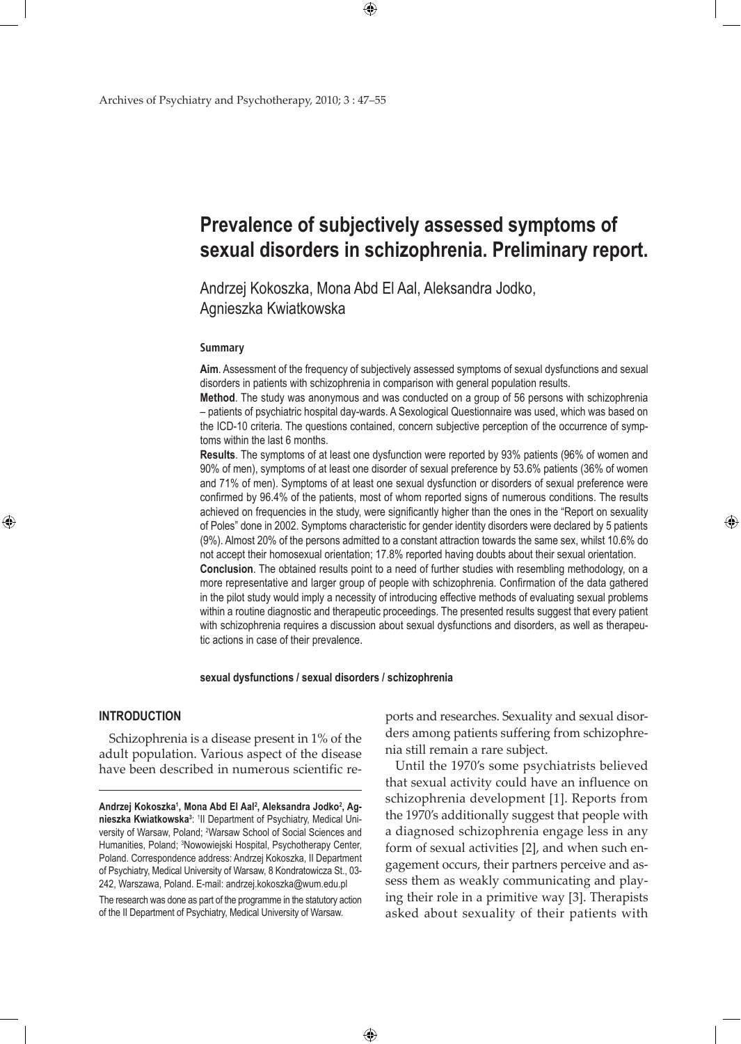# **Prevalence of subjectively assessed symptoms of sexual disorders in schizophrenia. Preliminary report.**

Andrzej Kokoszka, Mona Abd El Aal, Aleksandra Jodko, Agnieszka Kwiatkowska

 $\bigoplus$ 

#### **Summary**

**Aim**. Assessment of the frequency of subjectively assessed symptoms of sexual dysfunctions and sexual disorders in patients with schizophrenia in comparison with general population results.

**Method**. The study was anonymous and was conducted on a group of 56 persons with schizophrenia – patients of psychiatric hospital day-wards. A Sexological Questionnaire was used, which was based on the ICD-10 criteria. The questions contained, concern subjective perception of the occurrence of symptoms within the last 6 months.

**Results**. The symptoms of at least one dysfunction were reported by 93% patients (96% of women and 90% of men), symptoms of at least one disorder of sexual preference by 53.6% patients (36% of women and 71% of men). Symptoms of at least one sexual dysfunction or disorders of sexual preference were confirmed by 96.4% of the patients, most of whom reported signs of numerous conditions. The results achieved on frequencies in the study, were significantly higher than the ones in the "Report on sexuality of Poles" done in 2002. Symptoms characteristic for gender identity disorders were declared by 5 patients (9%). Almost 20% of the persons admitted to a constant attraction towards the same sex, whilst 10.6% do not accept their homosexual orientation; 17.8% reported having doubts about their sexual orientation. **Conclusion**. The obtained results point to a need of further studies with resembling methodology, on a more representative and larger group of people with schizophrenia. Confirmation of the data gathered in the pilot study would imply a necessity of introducing effective methods of evaluating sexual problems within a routine diagnostic and therapeutic proceedings. The presented results suggest that every patient with schizophrenia requires a discussion about sexual dysfunctions and disorders, as well as therapeutic actions in case of their prevalence.

#### **sexual dysfunctions / sexual disorders / schizophrenia**

 $\bigoplus$ 

### **Introduction**

⊕

Schizophrenia is a disease present in 1% of the adult population. Various aspect of the disease have been described in numerous scientific re-

The research was done as part of the programme in the statutory action of the II Department of Psychiatry, Medical University of Warsaw.

ports and researches. Sexuality and sexual disorders among patients suffering from schizophrenia still remain a rare subject.

⊕

Until the 1970's some psychiatrists believed that sexual activity could have an influence on schizophrenia development [1]. Reports from the 1970's additionally suggest that people with a diagnosed schizophrenia engage less in any form of sexual activities [2], and when such engagement occurs, their partners perceive and assess them as weakly communicating and playing their role in a primitive way [3]. Therapists asked about sexuality of their patients with

Andrzej Kokoszka<sup>1</sup>, Mona Abd El Aal<sup>2</sup>, Aleksandra Jodko<sup>2</sup>, Agnieszka Kwiatkowska<sup>3</sup>: <sup>1</sup>II Department of Psychiatry, Medical University of Warsaw, Poland; <sup>2</sup>Warsaw School of Social Sciences and Humanities, Poland; <sup>3</sup>Nowowiejski Hospital, Psychotherapy Center, Poland. Correspondence address: Andrzej Kokoszka, II Department of Psychiatry, Medical University of Warsaw, 8 Kondratowicza St., 03- 242, Warszawa, Poland. E-mail: andrzej.kokoszka@wum.edu.pl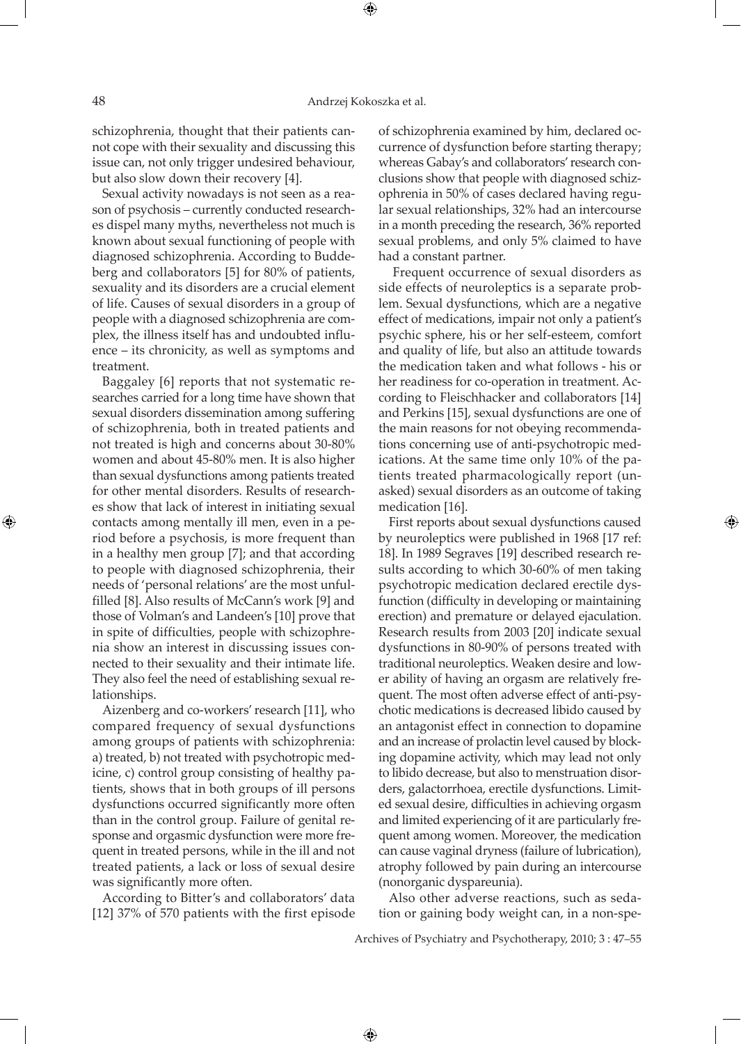schizophrenia, thought that their patients cannot cope with their sexuality and discussing this issue can, not only trigger undesired behaviour, but also slow down their recovery [4].

Sexual activity nowadays is not seen as a reason of psychosis – currently conducted researches dispel many myths, nevertheless not much is known about sexual functioning of people with diagnosed schizophrenia. According to Buddeberg and collaborators [5] for 80% of patients, sexuality and its disorders are a crucial element of life. Causes of sexual disorders in a group of people with a diagnosed schizophrenia are complex, the illness itself has and undoubted influence – its chronicity, as well as symptoms and treatment.

Baggaley [6] reports that not systematic researches carried for a long time have shown that sexual disorders dissemination among suffering of schizophrenia, both in treated patients and not treated is high and concerns about 30-80% women and about 45-80% men. It is also higher than sexual dysfunctions among patients treated for other mental disorders. Results of researches show that lack of interest in initiating sexual contacts among mentally ill men, even in a period before a psychosis, is more frequent than in a healthy men group [7]; and that according to people with diagnosed schizophrenia, their needs of 'personal relations' are the most unfulfilled [8]. Also results of McCann's work [9] and those of Volman's and Landeen's [10] prove that in spite of difficulties, people with schizophrenia show an interest in discussing issues connected to their sexuality and their intimate life. They also feel the need of establishing sexual relationships.

Aizenberg and co-workers' research [11], who compared frequency of sexual dysfunctions among groups of patients with schizophrenia: a) treated, b) not treated with psychotropic medicine, c) control group consisting of healthy patients, shows that in both groups of ill persons dysfunctions occurred significantly more often than in the control group. Failure of genital response and orgasmic dysfunction were more frequent in treated persons, while in the ill and not treated patients, a lack or loss of sexual desire was significantly more often.

According to Bitter's and collaborators' data [12] 37% of 570 patients with the first episode of schizophrenia examined by him, declared occurrence of dysfunction before starting therapy; whereas Gabay's and collaborators' research conclusions show that people with diagnosed schizophrenia in 50% of cases declared having regular sexual relationships, 32% had an intercourse in a month preceding the research, 36% reported sexual problems, and only 5% claimed to have had a constant partner.

 Frequent occurrence of sexual disorders as side effects of neuroleptics is a separate problem. Sexual dysfunctions, which are a negative effect of medications, impair not only a patient's psychic sphere, his or her self-esteem, comfort and quality of life, but also an attitude towards the medication taken and what follows - his or her readiness for co-operation in treatment. According to Fleischhacker and collaborators [14] and Perkins [15], sexual dysfunctions are one of the main reasons for not obeying recommendations concerning use of anti-psychotropic medications. At the same time only 10% of the patients treated pharmacologically report (unasked) sexual disorders as an outcome of taking medication [16].

⊕

First reports about sexual dysfunctions caused by neuroleptics were published in 1968 [17 ref: 18]. In 1989 Segraves [19] described research results according to which 30-60% of men taking psychotropic medication declared erectile dysfunction (difficulty in developing or maintaining erection) and premature or delayed ejaculation. Research results from 2003 [20] indicate sexual dysfunctions in 80-90% of persons treated with traditional neuroleptics. Weaken desire and lower ability of having an orgasm are relatively frequent. The most often adverse effect of anti-psychotic medications is decreased libido caused by an antagonist effect in connection to dopamine and an increase of prolactin level caused by blocking dopamine activity, which may lead not only to libido decrease, but also to menstruation disorders, galactorrhoea, erectile dysfunctions. Limited sexual desire, difficulties in achieving orgasm and limited experiencing of it are particularly frequent among women. Moreover, the medication can cause vaginal dryness (failure of lubrication), atrophy followed by pain during an intercourse (nonorganic dyspareunia).

Also other adverse reactions, such as sedation or gaining body weight can, in a non-spe-

Archives of Psychiatry and Psychotherapy, 2010; 3 : 47–55

 $\bigoplus$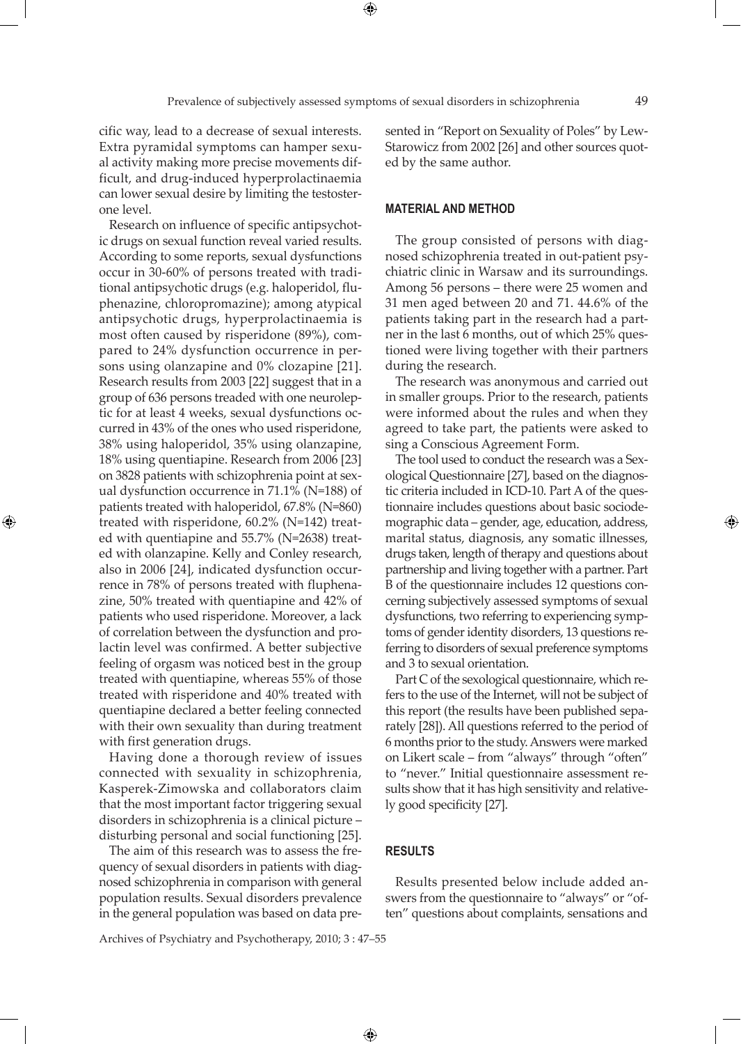cific way, lead to a decrease of sexual interests. Extra pyramidal symptoms can hamper sexual activity making more precise movements difficult, and drug-induced hyperprolactinaemia can lower sexual desire by limiting the testosterone level.

Research on influence of specific antipsychotic drugs on sexual function reveal varied results. According to some reports, sexual dysfunctions occur in 30-60% of persons treated with traditional antipsychotic drugs (e.g. haloperidol, fluphenazine, chloropromazine); among atypical antipsychotic drugs, hyperprolactinaemia is most often caused by risperidone (89%), compared to 24% dysfunction occurrence in persons using olanzapine and 0% clozapine [21]. Research results from 2003 [22] suggest that in a group of 636 persons treaded with one neuroleptic for at least 4 weeks, sexual dysfunctions occurred in 43% of the ones who used risperidone, 38% using haloperidol, 35% using olanzapine, 18% using quentiapine. Research from 2006 [23] on 3828 patients with schizophrenia point at sexual dysfunction occurrence in 71.1% (N=188) of patients treated with haloperidol, 67.8% (N=860) treated with risperidone, 60.2% (N=142) treated with quentiapine and 55.7% (N=2638) treated with olanzapine. Kelly and Conley research, also in 2006 [24], indicated dysfunction occurrence in 78% of persons treated with fluphenazine, 50% treated with quentiapine and 42% of patients who used risperidone. Moreover, a lack of correlation between the dysfunction and prolactin level was confirmed. A better subjective feeling of orgasm was noticed best in the group treated with quentiapine, whereas 55% of those treated with risperidone and 40% treated with quentiapine declared a better feeling connected with their own sexuality than during treatment with first generation drugs.

⊕

Having done a thorough review of issues connected with sexuality in schizophrenia, Kasperek-Zimowska and collaborators claim that the most important factor triggering sexual disorders in schizophrenia is a clinical picture – disturbing personal and social functioning [25].

The aim of this research was to assess the frequency of sexual disorders in patients with diagnosed schizophrenia in comparison with general population results. Sexual disorders prevalence in the general population was based on data presented in "Report on Sexuality of Poles" by Lew-Starowicz from 2002 [26] and other sources quoted by the same author.

#### **Material and method**

The group consisted of persons with diagnosed schizophrenia treated in out-patient psychiatric clinic in Warsaw and its surroundings. Among 56 persons – there were 25 women and 31 men aged between 20 and 71. 44.6% of the patients taking part in the research had a partner in the last 6 months, out of which 25% questioned were living together with their partners during the research.

The research was anonymous and carried out in smaller groups. Prior to the research, patients were informed about the rules and when they agreed to take part, the patients were asked to sing a Conscious Agreement Form.

The tool used to conduct the research was a Sexological Questionnaire [27], based on the diagnostic criteria included in ICD-10. Part A of the questionnaire includes questions about basic sociodemographic data – gender, age, education, address, marital status, diagnosis, any somatic illnesses, drugs taken, length of therapy and questions about partnership and living together with a partner. Part B of the questionnaire includes 12 questions concerning subjectively assessed symptoms of sexual dysfunctions, two referring to experiencing symptoms of gender identity disorders, 13 questions referring to disorders of sexual preference symptoms and 3 to sexual orientation.

Part C of the sexological questionnaire, which refers to the use of the Internet, will not be subject of this report (the results have been published separately [28]). All questions referred to the period of 6 months prior to the study. Answers were marked on Likert scale – from "always" through "often" to "never." Initial questionnaire assessment results show that it has high sensitivity and relatively good specificity [27].

#### **Results**

 $\bigoplus$ 

Results presented below include added answers from the questionnaire to "always" or "often" questions about complaints, sensations and

Archives of Psychiatry and Psychotherapy, 2010; 3 : 47–55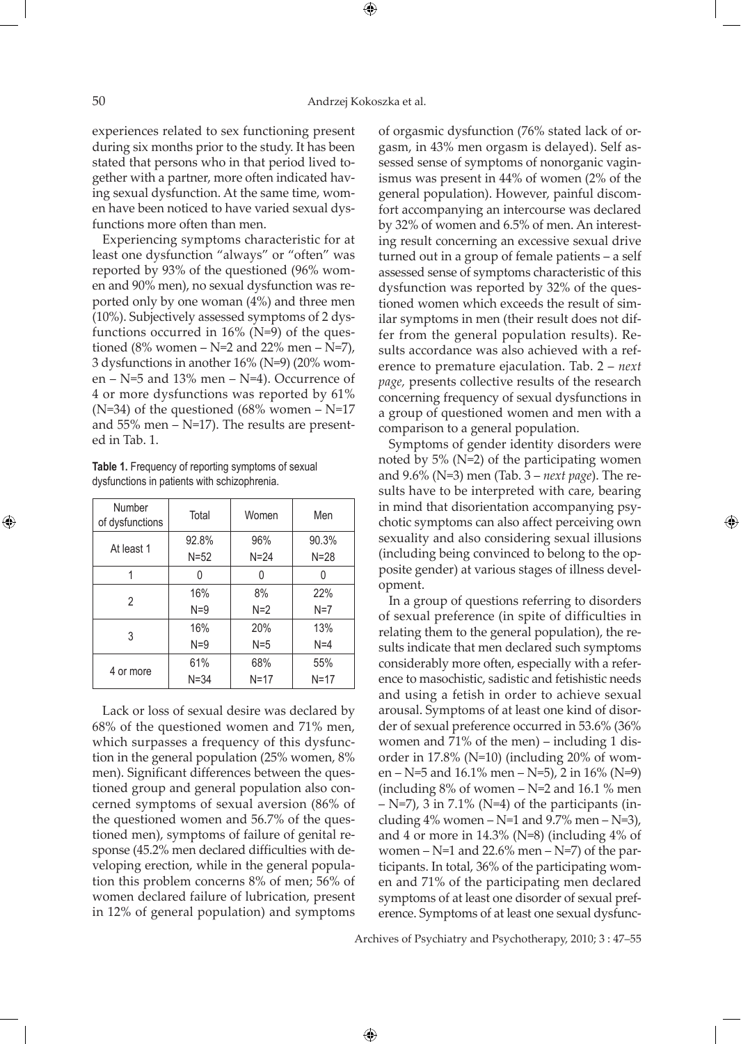⊕

experiences related to sex functioning present during six months prior to the study. It has been stated that persons who in that period lived together with a partner, more often indicated having sexual dysfunction. At the same time, women have been noticed to have varied sexual dysfunctions more often than men.

Experiencing symptoms characteristic for at least one dysfunction "always" or "often" was reported by 93% of the questioned (96% women and 90% men), no sexual dysfunction was reported only by one woman (4%) and three men (10%). Subjectively assessed symptoms of 2 dysfunctions occurred in  $16\%$  (N=9) of the questioned (8% women – N=2 and 22% men – N=7), 3 dysfunctions in another 16% (N=9) (20% women –  $N=5$  and 13% men –  $N=4$ ). Occurrence of 4 or more dysfunctions was reported by 61% ( $N=34$ ) of the questioned ( $68\%$  women –  $N=17$ and  $55\%$  men – N=17). The results are presented in Tab. 1.

**Table 1.** Frequency of reporting symptoms of sexual dysfunctions in patients with schizophrenia.

| Number<br>of dysfunctions | Total    | Women    | Men      |
|---------------------------|----------|----------|----------|
| At least 1                | 92.8%    | 96%      | 90.3%    |
|                           | $N = 52$ | $N = 24$ | $N = 28$ |
|                           |          | N        | 0        |
| 2                         | 16%      | 8%       | 22%      |
|                           | $N=9$    | $N=2$    | $N=7$    |
| 3                         | 16%      | 20%      | 13%      |
|                           | $N=9$    | $N=5$    | $N=4$    |
| 4 or more                 | 61%      | 68%      | 55%      |
|                           | $N = 34$ | $N = 17$ | $N = 17$ |

Lack or loss of sexual desire was declared by 68% of the questioned women and 71% men, which surpasses a frequency of this dysfunction in the general population (25% women, 8% men). Significant differences between the questioned group and general population also concerned symptoms of sexual aversion (86% of the questioned women and 56.7% of the questioned men), symptoms of failure of genital response (45.2% men declared difficulties with developing erection, while in the general population this problem concerns 8% of men; 56% of women declared failure of lubrication, present in 12% of general population) and symptoms

of orgasmic dysfunction (76% stated lack of orgasm, in 43% men orgasm is delayed). Self assessed sense of symptoms of nonorganic vaginismus was present in 44% of women (2% of the general population). However, painful discomfort accompanying an intercourse was declared by 32% of women and 6.5% of men. An interesting result concerning an excessive sexual drive turned out in a group of female patients – a self assessed sense of symptoms characteristic of this dysfunction was reported by 32% of the questioned women which exceeds the result of similar symptoms in men (their result does not differ from the general population results). Results accordance was also achieved with a reference to premature ejaculation. Tab. 2 – *next page,* presents collective results of the research concerning frequency of sexual dysfunctions in a group of questioned women and men with a comparison to a general population.

Symptoms of gender identity disorders were noted by 5% (N=2) of the participating women and 9.6% (N=3) men (Tab. 3 – *next page*). The results have to be interpreted with care, bearing in mind that disorientation accompanying psychotic symptoms can also affect perceiving own sexuality and also considering sexual illusions (including being convinced to belong to the opposite gender) at various stages of illness development.

In a group of questions referring to disorders of sexual preference (in spite of difficulties in relating them to the general population), the results indicate that men declared such symptoms considerably more often, especially with a reference to masochistic, sadistic and fetishistic needs and using a fetish in order to achieve sexual arousal. Symptoms of at least one kind of disorder of sexual preference occurred in 53.6% (36% women and 71% of the men) – including 1 disorder in 17.8% (N=10) (including 20% of women – N=5 and 16.1% men – N=5), 2 in 16% (N=9) (including  $8\%$  of women – N=2 and 16.1  $\%$  men  $-$  N=7), 3 in 7.1% (N=4) of the participants (including  $4\%$  women – N=1 and  $9.7\%$  men – N=3), and 4 or more in 14.3% (N=8) (including 4% of women –  $N=1$  and 22.6% men –  $N=7$ ) of the participants. In total, 36% of the participating women and 71% of the participating men declared symptoms of at least one disorder of sexual preference. Symptoms of at least one sexual dysfunc-

Archives of Psychiatry and Psychotherapy, 2010; 3 : 47–55

 $\bigoplus$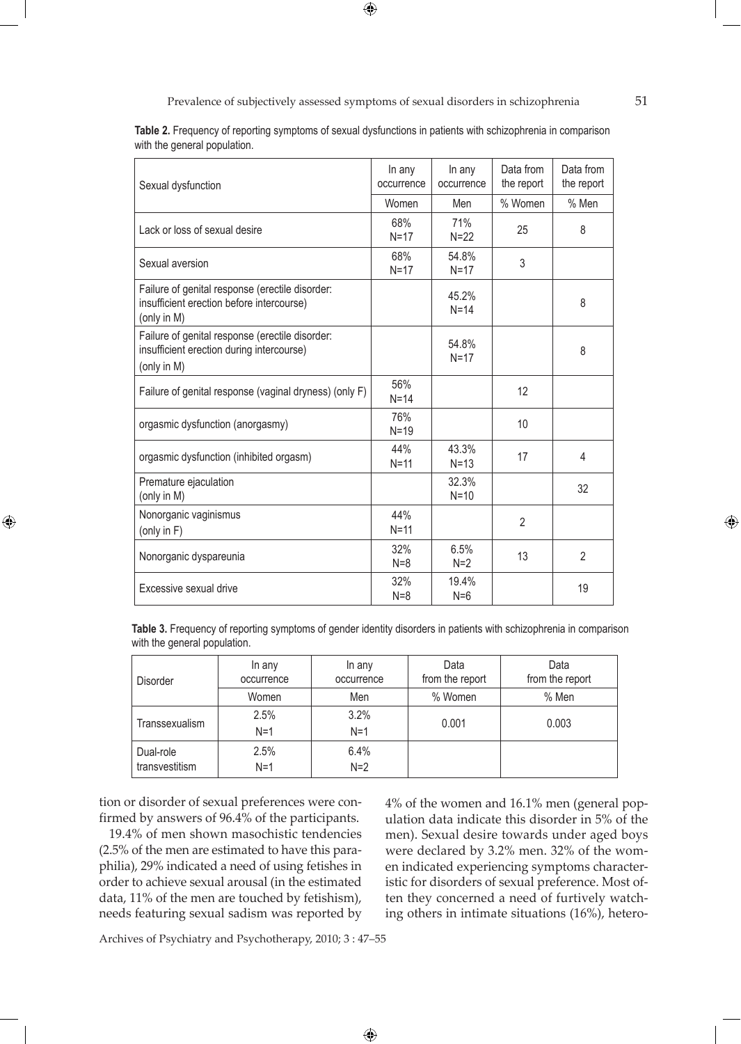Prevalence of subjectively assessed symptoms of sexual disorders in schizophrenia 51

 $\bigoplus$ 

| with the general population.                                                                                |                      |                      |                         |                         |
|-------------------------------------------------------------------------------------------------------------|----------------------|----------------------|-------------------------|-------------------------|
| Sexual dysfunction                                                                                          | In any<br>occurrence | In any<br>occurrence | Data from<br>the report | Data from<br>the report |
|                                                                                                             | Women                | Men                  | % Women                 | % Men                   |
| Lack or loss of sexual desire                                                                               | 68%<br>$N=17$        | 71%<br>$N=22$        | 25                      | 8                       |
| Sexual aversion                                                                                             | 68%<br>$N=17$        | 54.8%<br>$N=17$      | 3                       |                         |
| Failure of genital response (erectile disorder:<br>insufficient erection before intercourse)<br>(only in M) |                      | 45.2%<br>$N=14$      |                         | 8                       |
| Failure of genital response (erectile disorder:<br>insufficient erection during intercourse)<br>(only in M) |                      | 54.8%<br>$N = 17$    |                         | 8                       |
| Failure of genital response (vaginal dryness) (only F)                                                      | 56%<br>$N=14$        |                      | 12                      |                         |
| orgasmic dysfunction (anorgasmy)                                                                            | 76%<br>$N=19$        |                      | 10                      |                         |
| orgasmic dysfunction (inhibited orgasm)                                                                     | 44%<br>$N=11$        | 43.3%<br>$N=13$      | 17                      | 4                       |
| Premature ejaculation<br>(only in M)                                                                        |                      | 32.3%<br>$N=10$      |                         | 32                      |
| Nonorganic vaginismus<br>(only in F)                                                                        | 44%<br>$N=11$        |                      | $\overline{2}$          |                         |
| Nonorganic dyspareunia                                                                                      | 32%<br>$N=8$         | 6.5%<br>$N=2$        | 13                      | 2                       |
| Excessive sexual drive                                                                                      | 32%<br>$N=8$         | 19.4%<br>$N=6$       |                         | 19                      |

**Table 2.** Frequency of reporting symptoms of sexual dysfunctions in patients with schizophrenia in comparison with the general population.

**Table 3.** Frequency of reporting symptoms of gender identity disorders in patients with schizophrenia in comparison with the general population.

| <b>Disorder</b>             | In any<br>occurrence | In any<br>occurrence | Data<br>from the report | Data<br>from the report |
|-----------------------------|----------------------|----------------------|-------------------------|-------------------------|
|                             | Women                | Men                  | % Women                 | % Men                   |
| Transsexualism              | 2.5%<br>$N=1$        | 3.2%<br>$N=1$        | 0.001                   | 0.003                   |
| Dual-role<br>transvestitism | 2.5%<br>$N=1$        | 6.4%<br>$N=2$        |                         |                         |

 $\bigoplus$ 

tion or disorder of sexual preferences were confirmed by answers of 96.4% of the participants.

⊕

19.4% of men shown masochistic tendencies (2.5% of the men are estimated to have this paraphilia), 29% indicated a need of using fetishes in order to achieve sexual arousal (in the estimated data, 11% of the men are touched by fetishism), needs featuring sexual sadism was reported by 4% of the women and 16.1% men (general population data indicate this disorder in 5% of the men). Sexual desire towards under aged boys were declared by 3.2% men. 32% of the women indicated experiencing symptoms characteristic for disorders of sexual preference. Most often they concerned a need of furtively watching others in intimate situations (16%), hetero-

Archives of Psychiatry and Psychotherapy, 2010; 3 : 47–55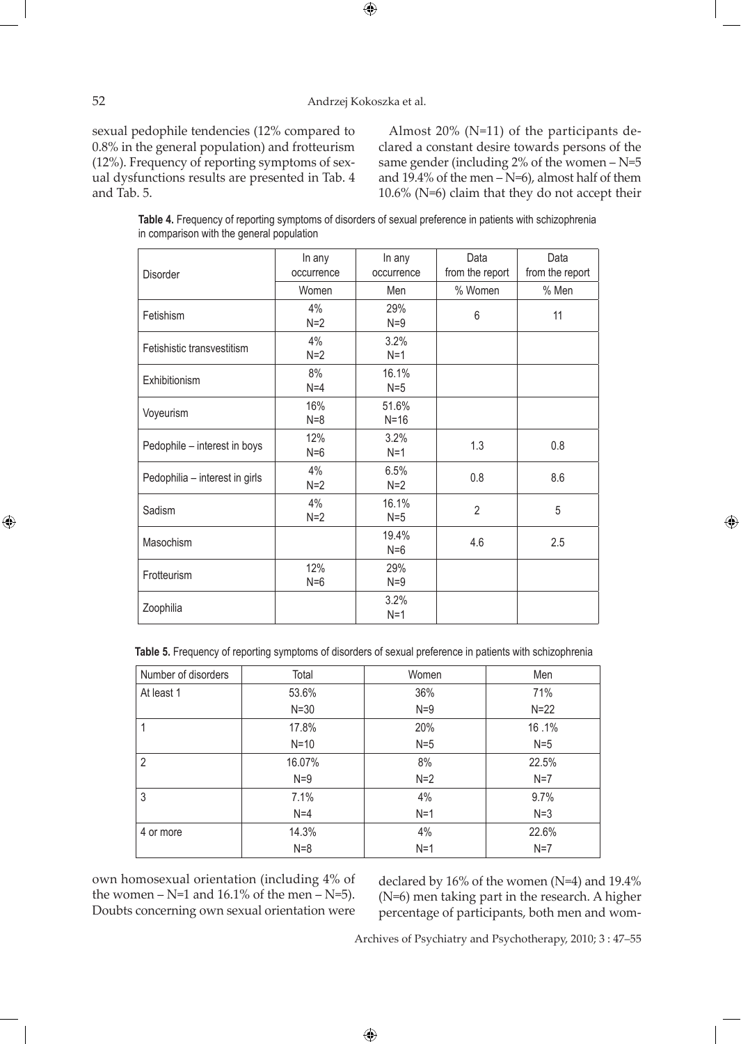#### 52 Andrzej Kokoszka et al.

 $\bigoplus$ 

sexual pedophile tendencies (12% compared to 0.8% in the general population) and frotteurism (12%). Frequency of reporting symptoms of sexual dysfunctions results are presented in Tab. 4 and Tab. 5.

Almost 20% (N=11) of the participants declared a constant desire towards persons of the same gender (including  $2\%$  of the women  $-N=5$ and  $19.4\%$  of the men  $-N=6$ ), almost half of them 10.6% (N=6) claim that they do not accept their

⊕

| Table 4. Frequency of reporting symptoms of disorders of sexual preference in patients with schizophrenia |  |
|-----------------------------------------------------------------------------------------------------------|--|
| in comparison with the general population                                                                 |  |

| <b>Disorder</b>                | In any<br>occurrence | In any<br>occurrence | Data<br>from the report | Data<br>from the report |
|--------------------------------|----------------------|----------------------|-------------------------|-------------------------|
|                                | Women                | Men                  | % Women                 | % Men                   |
| Fetishism                      | 4%<br>$N=2$          | 29%<br>$N=9$         | 6                       | 11                      |
| Fetishistic transvestitism     | 4%<br>$N=2$          | 3.2%<br>$N=1$        |                         |                         |
| Exhibitionism                  | 8%<br>$N=4$          | 16.1%<br>$N=5$       |                         |                         |
| Voyeurism                      | 16%<br>$N=8$         | 51.6%<br>$N=16$      |                         |                         |
| Pedophile - interest in boys   | 12%<br>$N=6$         | 3.2%<br>$N=1$        | 1.3                     | 0.8                     |
| Pedophilia - interest in girls | 4%<br>$N=2$          | 6.5%<br>$N=2$        | 0.8                     | 8.6                     |
| Sadism                         | 4%<br>$N=2$          | 16.1%<br>$N=5$       | $\overline{2}$          | 5                       |
| Masochism                      |                      | 19.4%<br>$N=6$       | 4.6                     | 2.5                     |
| Frotteurism                    | 12%<br>$N=6$         | 29%<br>$N=9$         |                         |                         |
| Zoophilia                      |                      | 3.2%<br>$N=1$        |                         |                         |

**Table 5.** Frequency of reporting symptoms of disorders of sexual preference in patients with schizophrenia

| Number of disorders | Total    | Women | Men    |
|---------------------|----------|-------|--------|
| At least 1          | 53.6%    | 36%   | 71%    |
|                     | $N = 30$ | $N=9$ | $N=22$ |
|                     | 17.8%    | 20%   | 16.1%  |
|                     | $N=10$   | $N=5$ | $N=5$  |
| 2                   | 16.07%   | 8%    | 22.5%  |
|                     | $N=9$    | $N=2$ | $N=7$  |
| 3                   | 7.1%     | 4%    | 9.7%   |
|                     | $N=4$    | $N=1$ | $N=3$  |
| 4 or more           | 14.3%    | 4%    | 22.6%  |
|                     | $N=8$    | $N=1$ | $N=7$  |

 $\bigoplus$ 

own homosexual orientation (including 4% of the women  $-$  N=1 and 16.1% of the men  $-$  N=5). Doubts concerning own sexual orientation were

declared by 16% of the women (N=4) and 19.4% (N=6) men taking part in the research. A higher percentage of participants, both men and wom-

Archives of Psychiatry and Psychotherapy, 2010; 3 : 47–55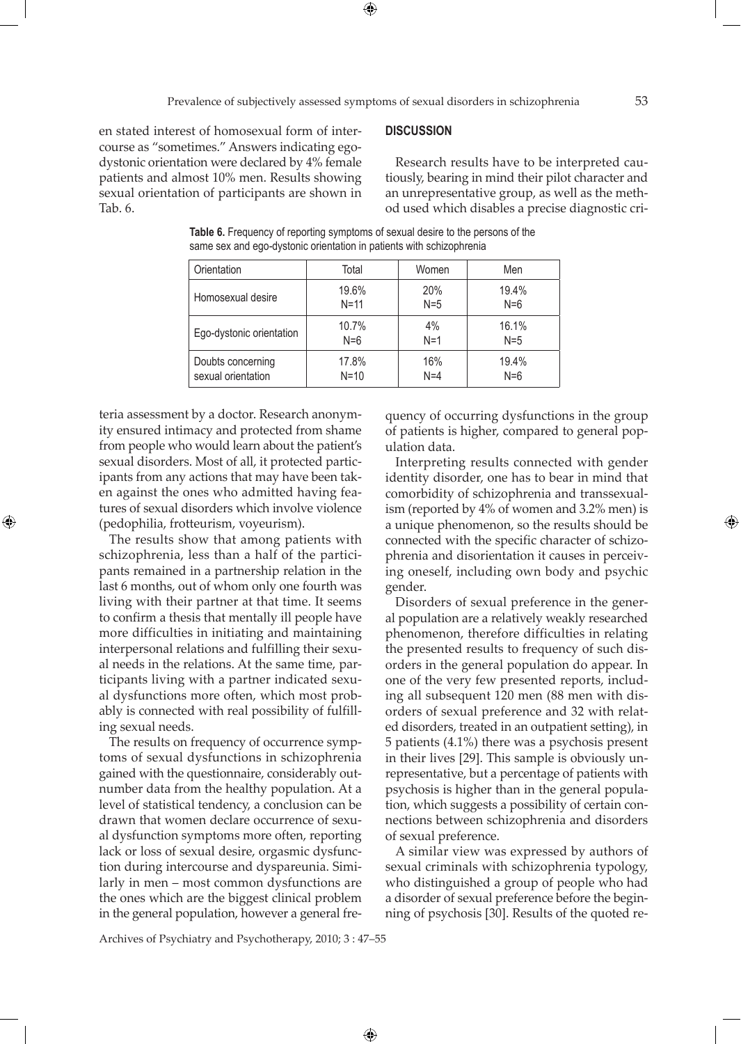en stated interest of homosexual form of intercourse as "sometimes." Answers indicating egodystonic orientation were declared by 4% female patients and almost 10% men. Results showing sexual orientation of participants are shown in Tab. 6.

**Discussion**

Research results have to be interpreted cautiously, bearing in mind their pilot character and an unrepresentative group, as well as the method used which disables a precise diagnostic cri-

| Orientation              | Total    | Women | Men   |
|--------------------------|----------|-------|-------|
| Homosexual desire        | 19.6%    | 20%   | 19.4% |
|                          | $N = 11$ | $N=5$ | $N=6$ |
| Ego-dystonic orientation | 10.7%    | 4%    | 16.1% |
|                          | $N=6$    | $N=1$ | $N=5$ |
| Doubts concerning        | 17.8%    | 16%   | 19.4% |
| sexual orientation       | $N = 10$ | $N=4$ | $N=6$ |

**Table 6.** Frequency of reporting symptoms of sexual desire to the persons of the same sex and ego-dystonic orientation in patients with schizophrenia

teria assessment by a doctor. Research anonymity ensured intimacy and protected from shame from people who would learn about the patient's sexual disorders. Most of all, it protected participants from any actions that may have been taken against the ones who admitted having features of sexual disorders which involve violence (pedophilia, frotteurism, voyeurism).

⊕

The results show that among patients with schizophrenia, less than a half of the participants remained in a partnership relation in the last 6 months, out of whom only one fourth was living with their partner at that time. It seems to confirm a thesis that mentally ill people have more difficulties in initiating and maintaining interpersonal relations and fulfilling their sexual needs in the relations. At the same time, participants living with a partner indicated sexual dysfunctions more often, which most probably is connected with real possibility of fulfilling sexual needs.

The results on frequency of occurrence symptoms of sexual dysfunctions in schizophrenia gained with the questionnaire, considerably outnumber data from the healthy population. At a level of statistical tendency, a conclusion can be drawn that women declare occurrence of sexual dysfunction symptoms more often, reporting lack or loss of sexual desire, orgasmic dysfunction during intercourse and dyspareunia. Similarly in men – most common dysfunctions are the ones which are the biggest clinical problem in the general population, however a general frequency of occurring dysfunctions in the group of patients is higher, compared to general population data.

Interpreting results connected with gender identity disorder, one has to bear in mind that comorbidity of schizophrenia and transsexualism (reported by 4% of women and 3.2% men) is a unique phenomenon, so the results should be connected with the specific character of schizophrenia and disorientation it causes in perceiving oneself, including own body and psychic gender.

Disorders of sexual preference in the general population are a relatively weakly researched phenomenon, therefore difficulties in relating the presented results to frequency of such disorders in the general population do appear. In one of the very few presented reports, including all subsequent 120 men (88 men with disorders of sexual preference and 32 with related disorders, treated in an outpatient setting), in 5 patients (4.1%) there was a psychosis present in their lives [29]. This sample is obviously unrepresentative, but a percentage of patients with psychosis is higher than in the general population, which suggests a possibility of certain connections between schizophrenia and disorders of sexual preference.

A similar view was expressed by authors of sexual criminals with schizophrenia typology, who distinguished a group of people who had a disorder of sexual preference before the beginning of psychosis [30]. Results of the quoted re-

Archives of Psychiatry and Psychotherapy, 2010; 3 : 47–55

 $\bigoplus$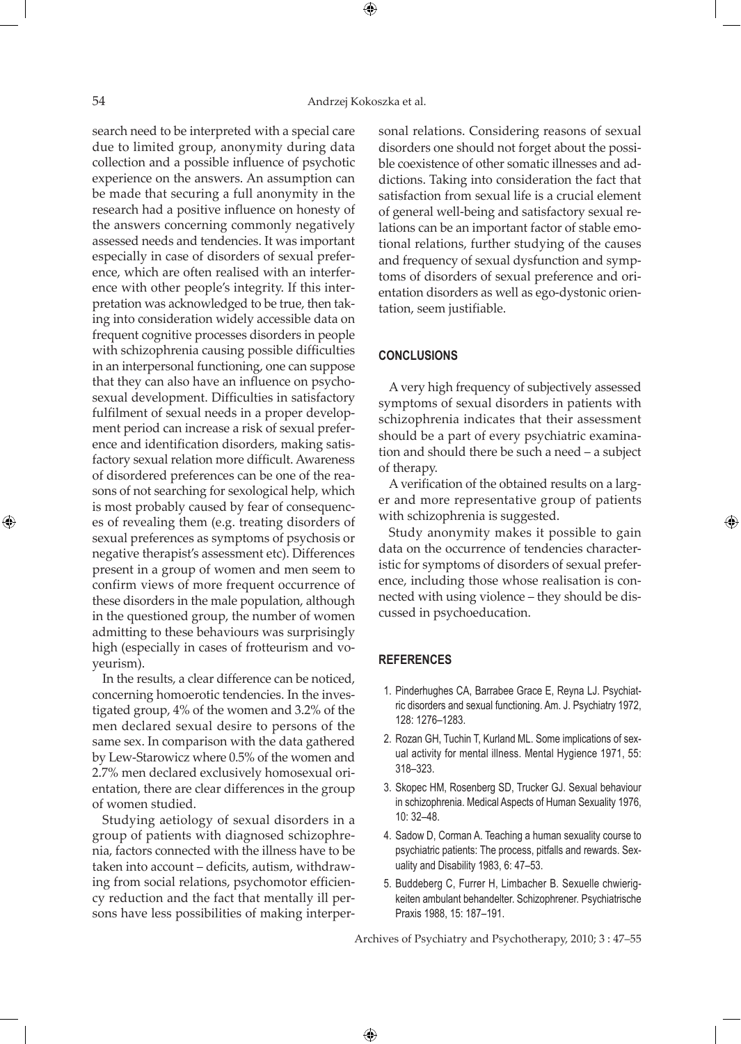⊕

search need to be interpreted with a special care due to limited group, anonymity during data collection and a possible influence of psychotic experience on the answers. An assumption can be made that securing a full anonymity in the research had a positive influence on honesty of the answers concerning commonly negatively assessed needs and tendencies. It was important especially in case of disorders of sexual preference, which are often realised with an interference with other people's integrity. If this interpretation was acknowledged to be true, then taking into consideration widely accessible data on frequent cognitive processes disorders in people with schizophrenia causing possible difficulties in an interpersonal functioning, one can suppose that they can also have an influence on psychosexual development. Difficulties in satisfactory fulfilment of sexual needs in a proper development period can increase a risk of sexual preference and identification disorders, making satisfactory sexual relation more difficult. Awareness of disordered preferences can be one of the reasons of not searching for sexological help, which is most probably caused by fear of consequences of revealing them (e.g. treating disorders of sexual preferences as symptoms of psychosis or negative therapist's assessment etc). Differences present in a group of women and men seem to confirm views of more frequent occurrence of these disorders in the male population, although in the questioned group, the number of women admitting to these behaviours was surprisingly high (especially in cases of frotteurism and voyeurism).

In the results, a clear difference can be noticed, concerning homoerotic tendencies. In the investigated group, 4% of the women and 3.2% of the men declared sexual desire to persons of the same sex. In comparison with the data gathered by Lew-Starowicz where 0.5% of the women and 2.7% men declared exclusively homosexual orientation, there are clear differences in the group of women studied.

Studying aetiology of sexual disorders in a group of patients with diagnosed schizophrenia, factors connected with the illness have to be taken into account – deficits, autism, withdrawing from social relations, psychomotor efficiency reduction and the fact that mentally ill persons have less possibilities of making interpersonal relations. Considering reasons of sexual disorders one should not forget about the possible coexistence of other somatic illnesses and addictions. Taking into consideration the fact that satisfaction from sexual life is a crucial element of general well-being and satisfactory sexual relations can be an important factor of stable emotional relations, further studying of the causes and frequency of sexual dysfunction and symptoms of disorders of sexual preference and orientation disorders as well as ego-dystonic orientation, seem justifiable.

### **Conclusions**

A very high frequency of subjectively assessed symptoms of sexual disorders in patients with schizophrenia indicates that their assessment should be a part of every psychiatric examination and should there be such a need – a subject of therapy.

A verification of the obtained results on a larger and more representative group of patients with schizophrenia is suggested.

Study anonymity makes it possible to gain data on the occurrence of tendencies characteristic for symptoms of disorders of sexual preference, including those whose realisation is connected with using violence – they should be discussed in psychoeducation.

## **References**

 $\bigoplus$ 

- 1. Pinderhughes CA, Barrabee Grace E, Reyna LJ. Psychiatric disorders and sexual functioning. Am. J. Psychiatry 1972, 128: 1276–1283.
- 2. Rozan GH, Tuchin T, Kurland ML. Some implications of sexual activity for mental illness. Mental Hygience 1971, 55: 318–323.
- 3. Skopec HM, Rosenberg SD, Trucker GJ. Sexual behaviour in schizophrenia. Medical Aspects of Human Sexuality 1976, 10: 32–48.
- 4. Sadow D, Corman A. Teaching a human sexuality course to psychiatric patients: The process, pitfalls and rewards. Sexuality and Disability 1983, 6: 47–53.
- 5. Buddeberg C, Furrer H, Limbacher B. Sexuelle chwierigkeiten ambulant behandelter. Schizophrener. Psychiatrische Praxis 1988, 15: 187–191.

Archives of Psychiatry and Psychotherapy, 2010; 3 : 47–55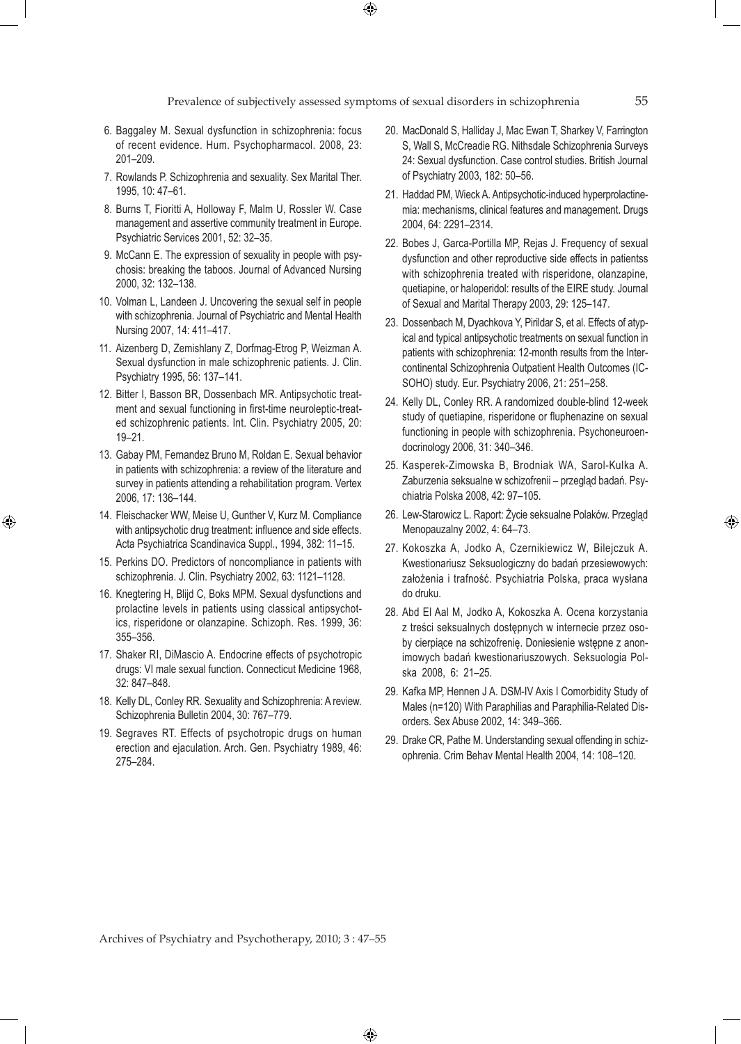$\bigoplus$ 

- 6. Baggaley M. Sexual dysfunction in schizophrenia: focus of recent evidence. Hum. Psychopharmacol. 2008, 23: 201–209.
- 7. Rowlands P. Schizophrenia and sexuality. Sex Marital Ther. 1995, 10: 47–61.
- 8. Burns T, Fioritti A, Holloway F, Malm U, Rossler W. Case management and assertive community treatment in Europe. Psychiatric Services 2001, 52: 32–35.
- 9. McCann E. The expression of sexuality in people with psychosis: breaking the taboos. Journal of Advanced Nursing 2000, 32: 132–138.
- 10. Volman L, Landeen J. Uncovering the sexual self in people with schizophrenia. Journal of Psychiatric and Mental Health Nursing 2007, 14: 411–417.
- 11. Aizenberg D, Zemishlany Z, Dorfmag-Etrog P, Weizman A. Sexual dysfunction in male schizophrenic patients. J. Clin. Psychiatry 1995, 56: 137–141.
- 12. Bitter I, Basson BR, Dossenbach MR. Antipsychotic treatment and sexual functioning in first-time neuroleptic-treated schizophrenic patients. Int. Clin. Psychiatry 2005, 20: 19–21.
- 13. Gabay PM, Fernandez Bruno M, Roldan E. Sexual behavior in patients with schizophrenia: a review of the literature and survey in patients attending a rehabilitation program. Vertex 2006, 17: 136–144.
- 14. Fleischacker WW, Meise U, Gunther V, Kurz M. Compliance with antipsychotic drug treatment: influence and side effects. Acta Psychiatrica Scandinavica Suppl., 1994, 382: 11–15.

⊕

- 15. Perkins DO. Predictors of noncompliance in patients with schizophrenia. J. Clin. Psychiatry 2002, 63: 1121–1128.
- 16. Knegtering H, Blijd C, Boks MPM. Sexual dysfunctions and prolactine levels in patients using classical antipsychotics, risperidone or olanzapine. Schizoph. Res. 1999, 36: 355–356.
- 17. Shaker RI, DiMascio A. Endocrine effects of psychotropic drugs: VI male sexual function. Connecticut Medicine 1968, 32: 847–848.
- 18. Kelly DL, Conley RR. Sexuality and Schizophrenia: A review. Schizophrenia Bulletin 2004, 30: 767–779.
- 19. Segraves RT. Effects of psychotropic drugs on human erection and ejaculation. Arch. Gen. Psychiatry 1989, 46: 275–284.
- 20. MacDonald S, Halliday J, Mac Ewan T, Sharkey V, Farrington S, Wall S, McCreadie RG. Nithsdale Schizophrenia Surveys 24: Sexual dysfunction. Case control studies. British Journal of Psychiatry 2003, 182: 50–56.
- 21. Haddad PM, Wieck A. Antipsychotic-induced hyperprolactinemia: mechanisms, clinical features and management. Drugs 2004, 64: 2291–2314.
- 22. Bobes J, Garca-Portilla MP, Rejas J. Frequency of sexual dysfunction and other reproductive side effects in patientss with schizophrenia treated with risperidone, olanzapine, quetiapine, or haloperidol: results of the EIRE study. Journal of Sexual and Marital Therapy 2003, 29: 125–147.
- 23. Dossenbach M, Dyachkova Y, Pirildar S, et al. Effects of atypical and typical antipsychotic treatments on sexual function in patients with schizophrenia: 12-month results from the Intercontinental Schizophrenia Outpatient Health Outcomes (IC-SOHO) study. Eur. Psychiatry 2006, 21: 251–258.
- 24. Kelly DL, Conley RR. A randomized double-blind 12-week study of quetiapine, risperidone or fluphenazine on sexual functioning in people with schizophrenia. Psychoneuroendocrinology 2006, 31: 340–346.
- 25. Kasperek-Zimowska B, Brodniak WA, Sarol-Kulka A. Zaburzenia seksualne w schizofrenii – przegląd badań. Psychiatria Polska 2008, 42: 97–105.
- 26. Lew-Starowicz L. Raport: Życie seksualne Polaków. Przegląd Menopauzalny 2002, 4: 64–73.
- 27. Kokoszka A, Jodko A, Czernikiewicz W, Bilejczuk A. Kwestionariusz Seksuologiczny do badań przesiewowych: założenia i trafność. Psychiatria Polska, praca wysłana do druku.
- 28. Abd El Aal M, Jodko A, Kokoszka A. Ocena korzystania z treści seksualnych dostępnych w internecie przez osoby cierpiące na schizofrenię. Doniesienie wstępne z anonimowych badań kwestionariuszowych. Seksuologia Polska 2008, 6: 21–25.
- 29. Kafka MP, Hennen J A. DSM-IV Axis I Comorbidity Study of Males (n=120) With Paraphilias and Paraphilia-Related Disorders. Sex Abuse 2002, 14: 349–366.
- 29. Drake CR, Pathe M. Understanding sexual offending in schizophrenia. Crim Behav Mental Health 2004, 14: 108–120.

Archives of Psychiatry and Psychotherapy, 2010; 3 : 47–55

 $\bigoplus$